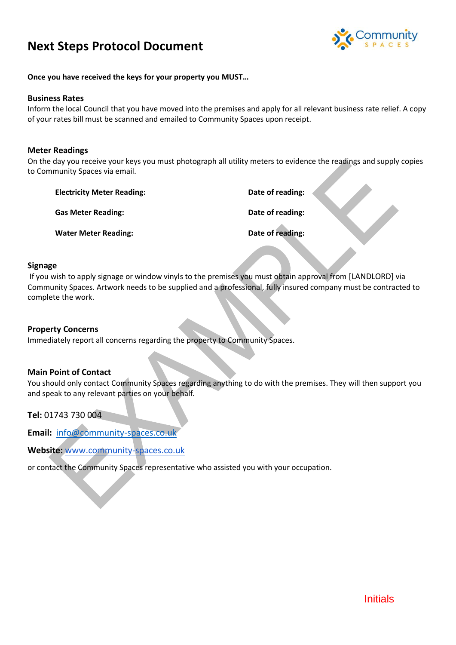# **Next Steps Protocol Document**



**Once you have received the keys for your property you MUST…**

#### **Business Rates**

Inform the local Council that you have moved into the premises and apply for all relevant business rate relief. A copy of your rates bill must be scanned and emailed to Community Spaces upon receipt.

#### **Meter Readings**

On the day you receive your keys you must photograph all utility meters to evidence the readings and supply copies to Community Spaces via email.

| <b>Electricity Meter Reading:</b> | Date of reading: |  |
|-----------------------------------|------------------|--|
| <b>Gas Meter Reading:</b>         | Date of reading: |  |
| <b>Water Meter Reading:</b>       | Date of reading: |  |

#### **Signage**

If you wish to apply signage or window vinyls to the premises you must obtain approval from [LANDLORD] via Community Spaces. Artwork needs to be supplied and a professional, fully insured company must be contracted to complete the work.

#### **Property Concerns**

Immediately report all concerns regarding the property to Community Spaces.

#### **Main Point of Contact**

You should only contact Community Spaces regarding anything to do with the premises. They will then support you and speak to any relevant parties on your behalf.

**Tel:** 01743 730 004

**Email:** [info@community-spaces.co.uk](about:blank)

**Website:** [www.community-spaces.co.uk](http://www.community-spaces.co.uk/)

or contact the Community Spaces representative who assisted you with your occupation.